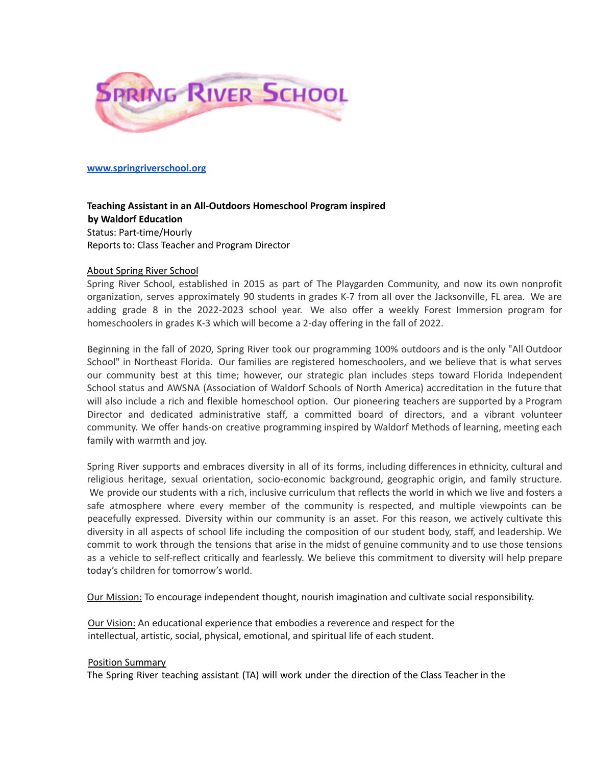

### **[www.springriverschool.org](http://www.springriverschool.org)**

# **Teaching Assistant in an All-Outdoors Homeschool Program inspired by Waldorf Education** Status: Part-time/Hourly Reports to: Class Teacher and Program Director

### About Spring River School

Spring River School, established in 2015 as part of The Playgarden Community, and now its own nonprofit organization, serves approximately 90 students in grades K-7 from all over the Jacksonville, FL area. We are adding grade 8 in the 2022-2023 school year. We also offer a weekly Forest Immersion program for homeschoolers in grades K-3 which will become a 2-day offering in the fall of 2022.

Beginning in the fall of 2020, Spring River took our programming 100% outdoors and is the only "All Outdoor School" in Northeast Florida. Our families are registered homeschoolers, and we believe that is what serves our community best at this time; however, our strategic plan includes steps toward Florida Independent School status and AWSNA (Association of Waldorf Schools of North America) accreditation in the future that will also include a rich and flexible homeschool option. Our pioneering teachers are supported by a Program Director and dedicated administrative staff, a committed board of directors, and a vibrant volunteer community. We offer hands-on creative programming inspired by Waldorf Methods of learning, meeting each family with warmth and joy.

Spring River supports and embraces diversity in all of its forms, including differences in ethnicity, cultural and religious heritage, sexual orientation, socio-economic background, geographic origin, and family structure. We provide our students with a rich, inclusive curriculum that reflects the world in which we live and fosters a safe atmosphere where every member of the community is respected, and multiple viewpoints can be peacefully expressed. Diversity within our community is an asset. For this reason, we actively cultivate this diversity in all aspects of school life including the composition of our student body, staff, and leadership. We commit to work through the tensions that arise in the midst of genuine community and to use those tensions as a vehicle to self-reflect critically and fearlessly. We believe this commitment to diversity will help prepare today's children for tomorrow's world.

Our Mission: To encourage independent thought, nourish imagination and cultivate social responsibility.

Our Vision: An educational experience that embodies a reverence and respect for the intellectual, artistic, social, physical, emotional, and spiritual life of each student.

#### Position Summary

The Spring River teaching assistant (TA) will work under the direction of the Class Teacher in the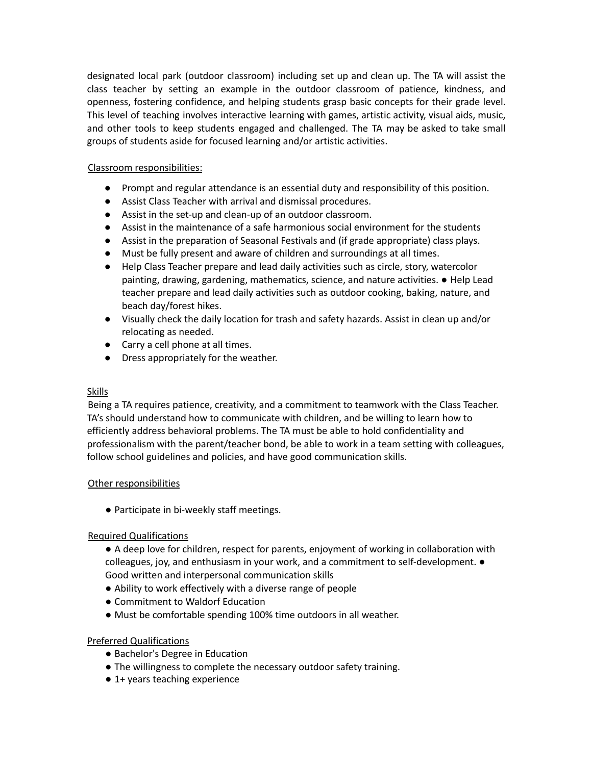designated local park (outdoor classroom) including set up and clean up. The TA will assist the class teacher by setting an example in the outdoor classroom of patience, kindness, and openness, fostering confidence, and helping students grasp basic concepts for their grade level. This level of teaching involves interactive learning with games, artistic activity, visual aids, music, and other tools to keep students engaged and challenged. The TA may be asked to take small groups of students aside for focused learning and/or artistic activities.

# Classroom responsibilities:

- Prompt and regular attendance is an essential duty and responsibility of this position.
- Assist Class Teacher with arrival and dismissal procedures.
- Assist in the set-up and clean-up of an outdoor classroom.
- Assist in the maintenance of a safe harmonious social environment for the students
- Assist in the preparation of Seasonal Festivals and (if grade appropriate) class plays.
- Must be fully present and aware of children and surroundings at all times.
- Help Class Teacher prepare and lead daily activities such as circle, story, watercolor painting, drawing, gardening, mathematics, science, and nature activities. ● Help Lead teacher prepare and lead daily activities such as outdoor cooking, baking, nature, and beach day/forest hikes.
- Visually check the daily location for trash and safety hazards. Assist in clean up and/or relocating as needed.
- Carry a cell phone at all times.
- Dress appropriately for the weather.

#### **Skills**

Being a TA requires patience, creativity, and a commitment to teamwork with the Class Teacher. TA's should understand how to communicate with children, and be willing to learn how to efficiently address behavioral problems. The TA must be able to hold confidentiality and professionalism with the parent/teacher bond, be able to work in a team setting with colleagues, follow school guidelines and policies, and have good communication skills.

## Other responsibilities

● Participate in bi-weekly staff meetings.

## Required Qualifications

● A deep love for children, respect for parents, enjoyment of working in collaboration with colleagues, joy, and enthusiasm in your work, and a commitment to self-development. ● Good written and interpersonal communication skills

- Ability to work effectively with a diverse range of people
- Commitment to Waldorf Education
- Must be comfortable spending 100% time outdoors in all weather.

## Preferred Qualifications

- Bachelor's Degree in Education
- The willingness to complete the necessary outdoor safety training.
- 1+ years teaching experience